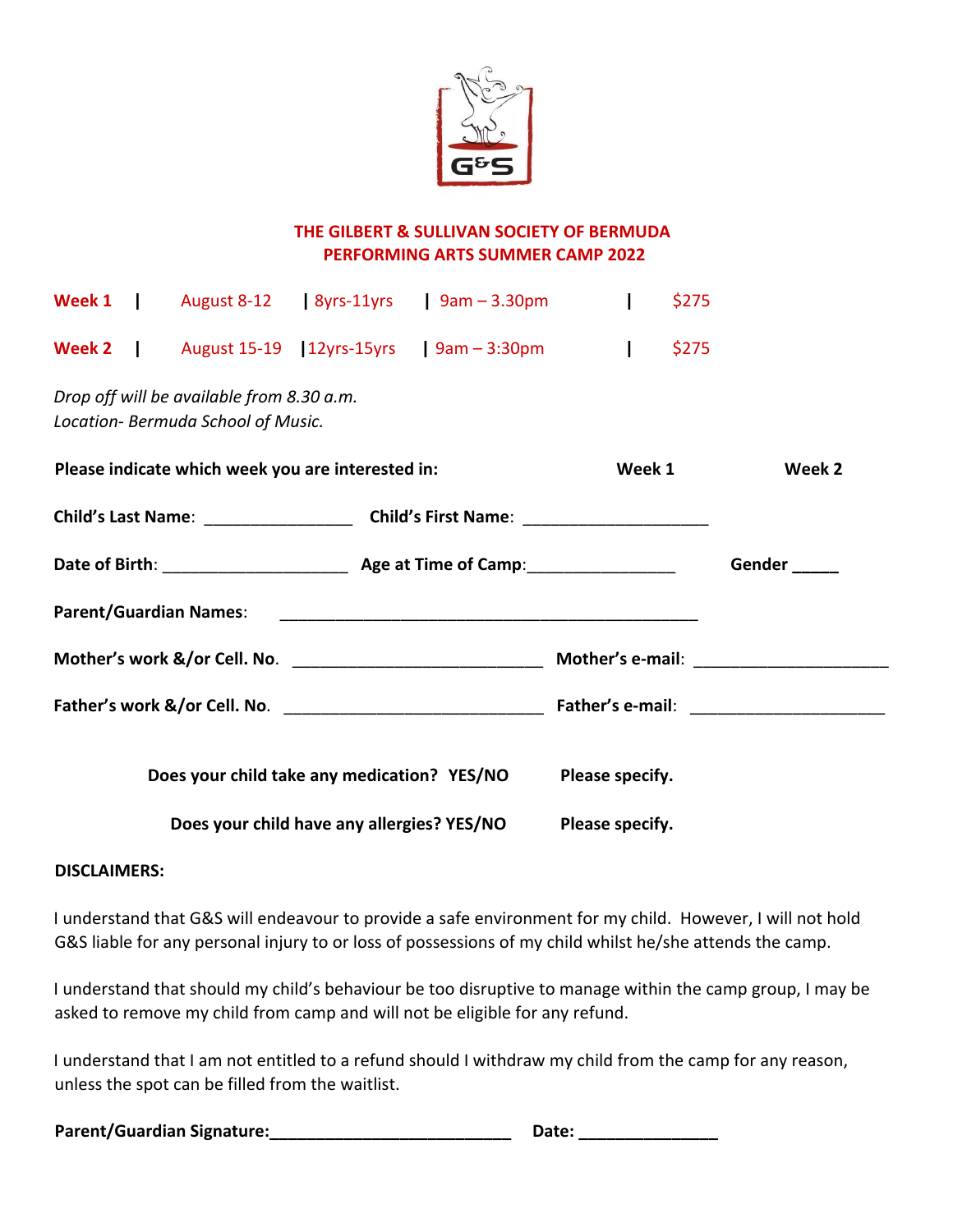

## **THE GILBERT & SULLIVAN SOCIETY OF BERMUDA PERFORMING ARTS SUMMER CAMP 2022**

|                                                   |  |                                                                                 |  | <b>Week 1</b>   August 8-12   8yrs-11yrs   $9am - 3.30pm$                                                      | $\mathbf{I}$    | \$275 |                         |
|---------------------------------------------------|--|---------------------------------------------------------------------------------|--|----------------------------------------------------------------------------------------------------------------|-----------------|-------|-------------------------|
|                                                   |  |                                                                                 |  | <b>Week 2</b>   August 15-19   $12yrs-15yrs$   $9am - 3:30pm$                                                  | $\mathbf{I}$    | \$275 |                         |
|                                                   |  | Drop off will be available from 8.30 a.m.<br>Location- Bermuda School of Music. |  |                                                                                                                |                 |       |                         |
| Please indicate which week you are interested in: |  |                                                                                 |  |                                                                                                                | Week 1          |       | Week 2                  |
|                                                   |  |                                                                                 |  |                                                                                                                |                 |       |                         |
|                                                   |  |                                                                                 |  |                                                                                                                |                 |       | Gender <sub>_____</sub> |
|                                                   |  |                                                                                 |  | Parent/Guardian Names: 2010 2020 2021 2021 2022 2023 2024 2022 2023 2024 2022 2023 2024 2022 2023 2024 2022 20 |                 |       |                         |
|                                                   |  |                                                                                 |  |                                                                                                                |                 |       |                         |
|                                                   |  |                                                                                 |  |                                                                                                                |                 |       |                         |
|                                                   |  |                                                                                 |  | Does your child take any medication? YES/NO                                                                    | Please specify. |       |                         |
| Does your child have any allergies? YES/NO        |  |                                                                                 |  |                                                                                                                | Please specify. |       |                         |

## **DISCLAIMERS:**

I understand that G&S will endeavour to provide a safe environment for my child. However, I will not hold G&S liable for any personal injury to or loss of possessions of my child whilst he/she attends the camp.

I understand that should my child's behaviour be too disruptive to manage within the camp group, I may be asked to remove my child from camp and will not be eligible for any refund.

I understand that I am not entitled to a refund should I withdraw my child from the camp for any reason, unless the spot can be filled from the waitlist.

| Parent/Guardian Signature: | Date: |
|----------------------------|-------|
|----------------------------|-------|